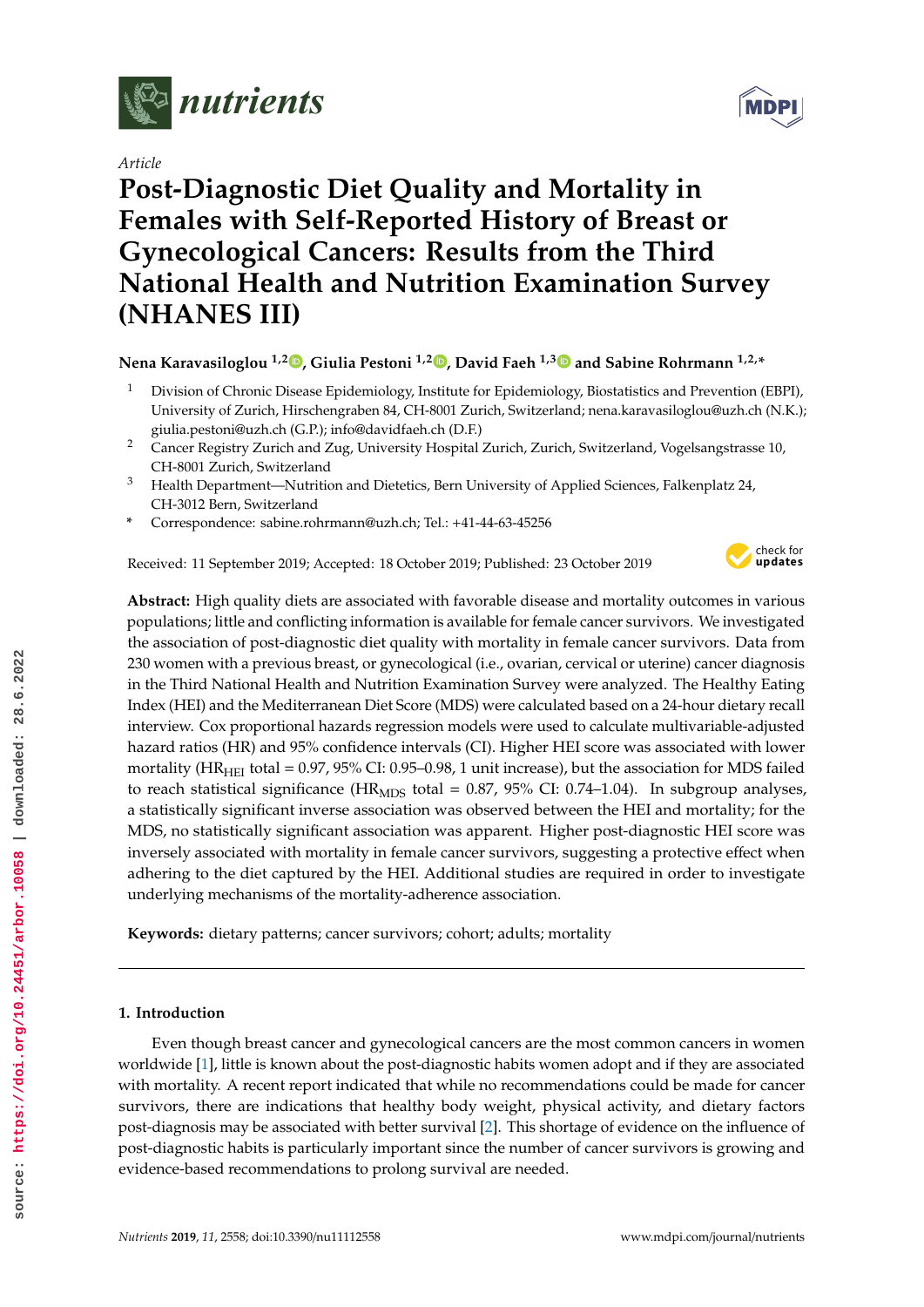

*Article*

# **Post-Diagnostic Diet Quality and Mortality in Females with Self-Reported History of Breast or Gynecological Cancers: Results from the Third National Health and Nutrition Examination Survey (NHANES III)**

**Nena Karavasiloglou 1,2 [,](https://orcid.org/0000-0001-5284-6612) Giulia Pestoni 1,2 [,](https://orcid.org/0000-0002-5933-7439) David Faeh 1,[3](https://orcid.org/0000-0003-2630-8102) and Sabine Rohrmann 1,2,\***

- <sup>1</sup> Division of Chronic Disease Epidemiology, Institute for Epidemiology, Biostatistics and Prevention (EBPI), University of Zurich, Hirschengraben 84, CH-8001 Zurich, Switzerland; nena.karavasiloglou@uzh.ch (N.K.); giulia.pestoni@uzh.ch (G.P.); info@davidfaeh.ch (D.F.)
- <sup>2</sup> Cancer Registry Zurich and Zug, University Hospital Zurich, Zurich, Switzerland, Vogelsangstrasse 10, CH-8001 Zurich, Switzerland
- <sup>3</sup> Health Department—Nutrition and Dietetics, Bern University of Applied Sciences, Falkenplatz 24, CH-3012 Bern, Switzerland
- **\*** Correspondence: sabine.rohrmann@uzh.ch; Tel.: +41-44-63-45256

Received: 11 September 2019; Accepted: 18 October 2019; Published: 23 October 2019



**Abstract:** High quality diets are associated with favorable disease and mortality outcomes in various populations; little and conflicting information is available for female cancer survivors. We investigated the association of post-diagnostic diet quality with mortality in female cancer survivors. Data from 230 women with a previous breast, or gynecological (i.e., ovarian, cervical or uterine) cancer diagnosis in the Third National Health and Nutrition Examination Survey were analyzed. The Healthy Eating Index (HEI) and the Mediterranean Diet Score (MDS) were calculated based on a 24-hour dietary recall interview. Cox proportional hazards regression models were used to calculate multivariable-adjusted hazard ratios (HR) and 95% confidence intervals (CI). Higher HEI score was associated with lower mortality ( $HR<sub>HEI</sub>$  total = 0.97, 95% CI: 0.95–0.98, 1 unit increase), but the association for MDS failed to reach statistical significance (HR<sub>MDS</sub> total = 0.87, 95% CI: 0.74–1.04). In subgroup analyses, a statistically significant inverse association was observed between the HEI and mortality; for the MDS, no statistically significant association was apparent. Higher post-diagnostic HEI score was inversely associated with mortality in female cancer survivors, suggesting a protective effect when adhering to the diet captured by the HEI. Additional studies are required in order to investigate underlying mechanisms of the mortality-adherence association.

**Keywords:** dietary patterns; cancer survivors; cohort; adults; mortality

## **1. Introduction**

Even though breast cancer and gynecological cancers are the most common cancers in women worldwide [1], little is known about the post-diagnostic habits women adopt and if they are associated with mortality. A recent report indicated that while no recommendations could be made for cancer survivors, there are indications that healthy body weight, physical activity, and dietary factors post-diagnosis may be associated with better survival [2]. This shortage of evidence on the influence of post-diagnostic habits is particularly important since the number of cancer survivors is growing and evidence-based recommendations to prolong survival are needed.

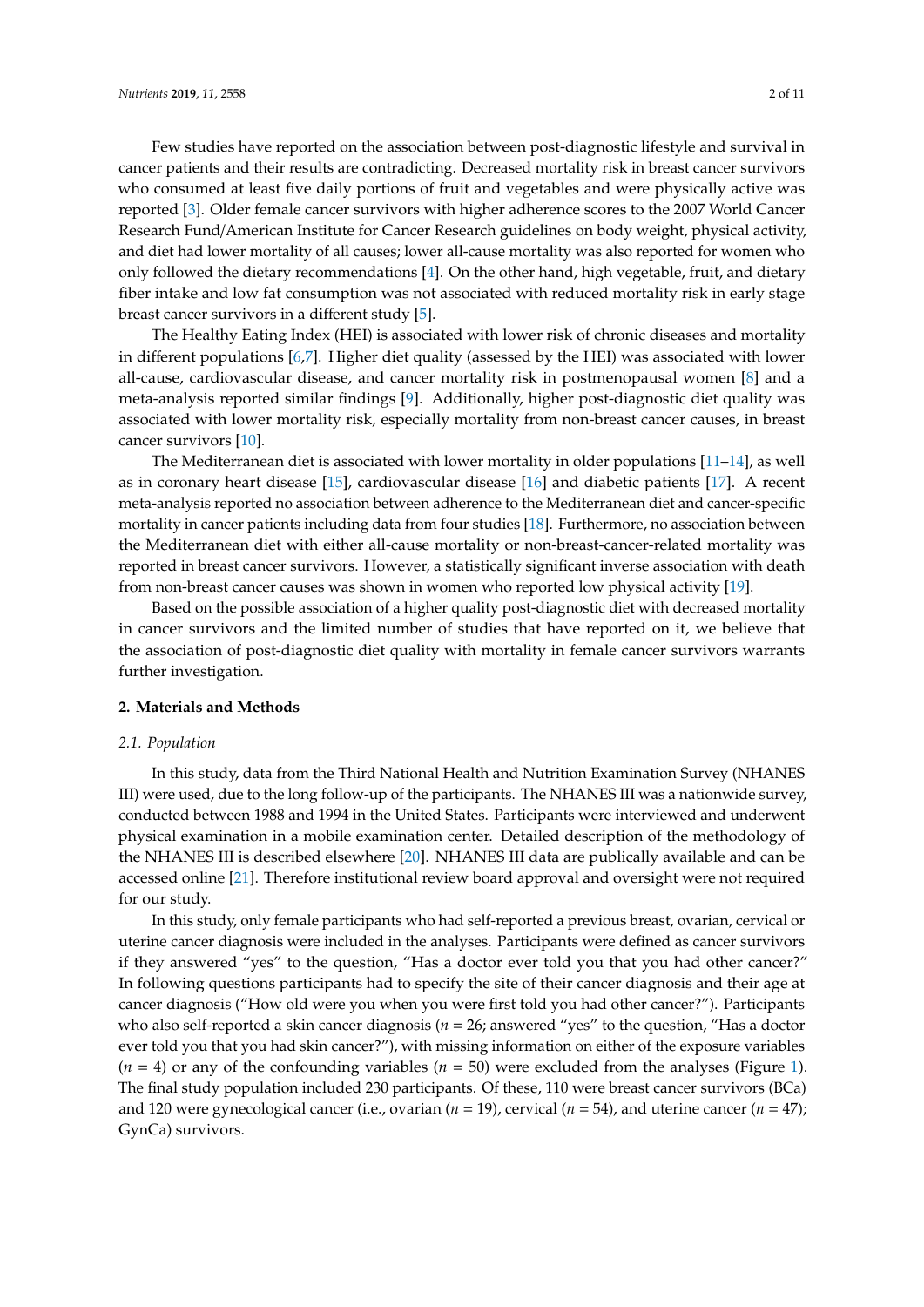Few studies have reported on the association between post-diagnostic lifestyle and survival in cancer patients and their results are contradicting. Decreased mortality risk in breast cancer survivors who consumed at least five daily portions of fruit and vegetables and were physically active was reported [3]. Older female cancer survivors with higher adherence scores to the 2007 World Cancer Research Fund/American Institute for Cancer Research guidelines on body weight, physical activity, and diet had lower mortality of all causes; lower all-cause mortality was also reported for women who only followed the dietary recommendations [4]. On the other hand, high vegetable, fruit, and dietary fiber intake and low fat consumption was not associated with reduced mortality risk in early stage breast cancer survivors in a different study [5].

The Healthy Eating Index (HEI) is associated with lower risk of chronic diseases and mortality in different populations [6,7]. Higher diet quality (assessed by the HEI) was associated with lower all-cause, cardiovascular disease, and cancer mortality risk in postmenopausal women [8] and a meta-analysis reported similar findings [9]. Additionally, higher post-diagnostic diet quality was associated with lower mortality risk, especially mortality from non-breast cancer causes, in breast cancer survivors [10].

The Mediterranean diet is associated with lower mortality in older populations  $[11-14]$ , as well as in coronary heart disease [15], cardiovascular disease [16] and diabetic patients [17]. A recent meta-analysis reported no association between adherence to the Mediterranean diet and cancer-specific mortality in cancer patients including data from four studies [18]. Furthermore, no association between the Mediterranean diet with either all-cause mortality or non-breast-cancer-related mortality was reported in breast cancer survivors. However, a statistically significant inverse association with death from non-breast cancer causes was shown in women who reported low physical activity [19].

Based on the possible association of a higher quality post-diagnostic diet with decreased mortality in cancer survivors and the limited number of studies that have reported on it, we believe that the association of post-diagnostic diet quality with mortality in female cancer survivors warrants further investigation.

## **2. Materials and Methods**

#### *2.1. Population*

In this study, data from the Third National Health and Nutrition Examination Survey (NHANES III) were used, due to the long follow-up of the participants. The NHANES III was a nationwide survey, conducted between 1988 and 1994 in the United States. Participants were interviewed and underwent physical examination in a mobile examination center. Detailed description of the methodology of the NHANES III is described elsewhere [20]. NHANES III data are publically available and can be accessed online [21]. Therefore institutional review board approval and oversight were not required for our study.

In this study, only female participants who had self-reported a previous breast, ovarian, cervical or uterine cancer diagnosis were included in the analyses. Participants were defined as cancer survivors if they answered "yes" to the question, "Has a doctor ever told you that you had other cancer?" In following questions participants had to specify the site of their cancer diagnosis and their age at cancer diagnosis ("How old were you when you were first told you had other cancer?"). Participants who also self-reported a skin cancer diagnosis (*n* = 26; answered "yes" to the question, "Has a doctor ever told you that you had skin cancer?"), with missing information on either of the exposure variables  $(n = 4)$  or any of the confounding variables  $(n = 50)$  were excluded from the analyses (Figure 1). The final study population included 230 participants. Of these, 110 were breast cancer survivors (BCa) and 120 were gynecological cancer (i.e., ovarian (*n* = 19), cervical (*n* = 54), and uterine cancer (*n* = 47); GynCa) survivors.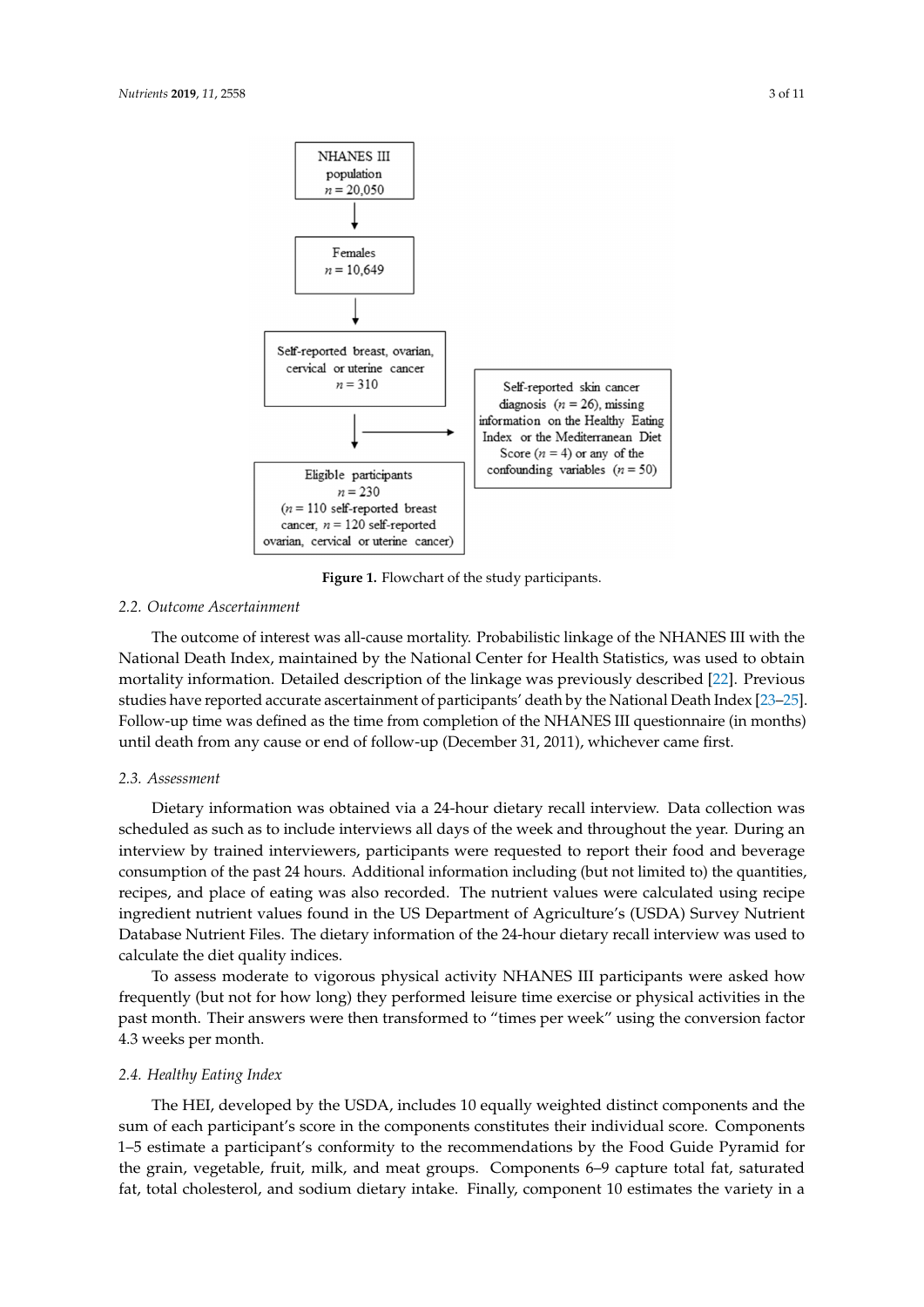

**Figure 1.** Flowchart of the study participants*.*  **Figure 1.** Flowchart of the study participants.

## *2.2. Outcome Ascertainment*

National Death Index, maintained by the National Center for Health Statistics, was used to obtain mortality information. Detailed description of the linkage was previously described [22]. Previous studies have reported accurate ascertainment of participants' death by the National Death Index [23–25]. Follow-up time was defined as the time from completion of the NHANES III questionnaire (in months) until death from any cause or end of follow-up (December 31, 2011), whichever came first. months) until death from any cause or end of follow-up (December 31, 2011), whichever came first. The outcome of interest was all-cause mortality. Probabilistic linkage of the NHANES III with the

#### *2.3. Assessment*

*2.3. Assessment*  Dietary information was obtained via a 24-hour dietary recall interview. Data collection was scheduled as such as to include interviews all days of the week and throughout the year. During an interview by trained interviewers, participants were requested to report their food and beverage consumption of the past 24 hours. Additional information including (but not limited to) the quantities, recipes, and place of eating was also recorded. The nutrient values were calculated using recipe ingredient nutrient values found in the US Department of Agriculture's (USDA) Survey Nutrient Database Nutrient Files. The dietary information of the 24-hour dietary recall interview was used to calculate the diet quality indices. The 24-hours of the 24-hours recall interview was calculate the diet quality indices.

To assess moderate to vigorous physical activity NHANES III participants were asked how frequently (but not for how long) they performed leisure time exercise or physical activities in the past month. Their answers were then transformed to "times per week" using the conversion factor past month. Their answers were then transformed to "times per week" using the conversion factor 4.3 weeks per month.

#### *2.4. Healthy Eating Index*

The HEI, developed by the USDA, includes 10 equally weighted distinct components and the sum of each participant's score in the components constitutes their individual score. Components 1–5 estimate a participant's conformity to the recommendations by the Food Guide Pyramid for the grain, vegetable, fruit, milk, and meat groups. Components 6–9 capture total fat, saturated fat, total cholesterol, and sodium dietary intake. Finally, component 10 estimates the variety in a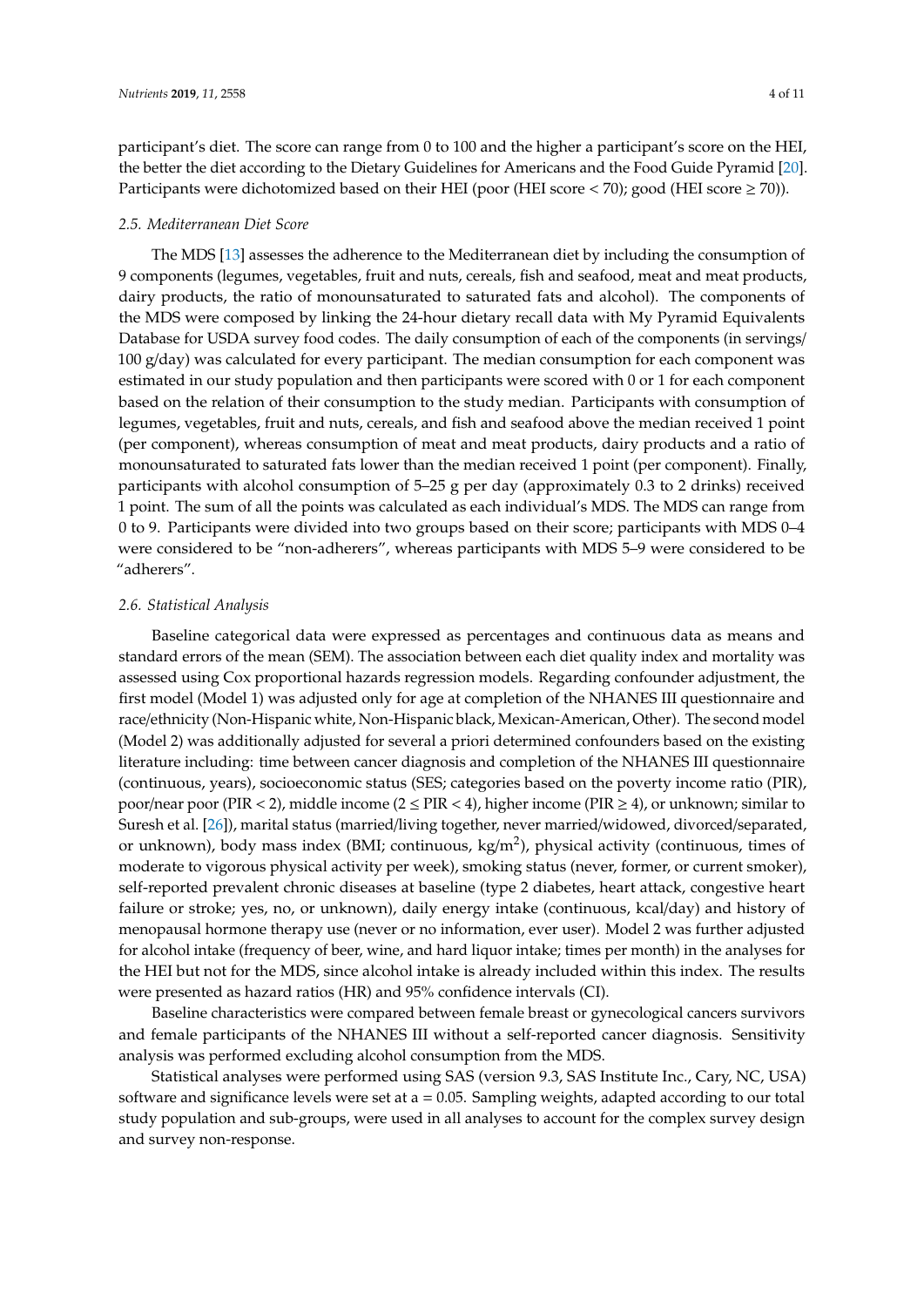participant's diet. The score can range from 0 to 100 and the higher a participant's score on the HEI, the better the diet according to the Dietary Guidelines for Americans and the Food Guide Pyramid [20]. Participants were dichotomized based on their HEI (poor (HEI score  $\lt$  70); good (HEI score  $\geq$  70)).

### *2.5. Mediterranean Diet Score*

The MDS [13] assesses the adherence to the Mediterranean diet by including the consumption of 9 components (legumes, vegetables, fruit and nuts, cereals, fish and seafood, meat and meat products, dairy products, the ratio of monounsaturated to saturated fats and alcohol). The components of the MDS were composed by linking the 24-hour dietary recall data with My Pyramid Equivalents Database for USDA survey food codes. The daily consumption of each of the components (in servings/ 100 g/day) was calculated for every participant. The median consumption for each component was estimated in our study population and then participants were scored with 0 or 1 for each component based on the relation of their consumption to the study median. Participants with consumption of legumes, vegetables, fruit and nuts, cereals, and fish and seafood above the median received 1 point (per component), whereas consumption of meat and meat products, dairy products and a ratio of monounsaturated to saturated fats lower than the median received 1 point (per component). Finally, participants with alcohol consumption of 5–25 g per day (approximately 0.3 to 2 drinks) received 1 point. The sum of all the points was calculated as each individual's MDS. The MDS can range from 0 to 9. Participants were divided into two groups based on their score; participants with MDS 0–4 were considered to be "non-adherers", whereas participants with MDS 5–9 were considered to be "adherers".

### *2.6. Statistical Analysis*

Baseline categorical data were expressed as percentages and continuous data as means and standard errors of the mean (SEM). The association between each diet quality index and mortality was assessed using Cox proportional hazards regression models. Regarding confounder adjustment, the first model (Model 1) was adjusted only for age at completion of the NHANES III questionnaire and race/ethnicity (Non-Hispanic white, Non-Hispanic black, Mexican-American, Other). The second model (Model 2) was additionally adjusted for several a priori determined confounders based on the existing literature including: time between cancer diagnosis and completion of the NHANES III questionnaire (continuous, years), socioeconomic status (SES; categories based on the poverty income ratio (PIR), poor/near poor (PIR < 2), middle income ( $2 \leq PIR$  < 4), higher income (PIR  $\geq$  4), or unknown; similar to Suresh et al. [26]), marital status (married/living together, never married/widowed, divorced/separated, or unknown), body mass index (BMI; continuous, kg/m<sup>2</sup>), physical activity (continuous, times of moderate to vigorous physical activity per week), smoking status (never, former, or current smoker), self-reported prevalent chronic diseases at baseline (type 2 diabetes, heart attack, congestive heart failure or stroke; yes, no, or unknown), daily energy intake (continuous, kcal/day) and history of menopausal hormone therapy use (never or no information, ever user). Model 2 was further adjusted for alcohol intake (frequency of beer, wine, and hard liquor intake; times per month) in the analyses for the HEI but not for the MDS, since alcohol intake is already included within this index. The results were presented as hazard ratios (HR) and 95% confidence intervals (CI).

Baseline characteristics were compared between female breast or gynecological cancers survivors and female participants of the NHANES III without a self-reported cancer diagnosis. Sensitivity analysis was performed excluding alcohol consumption from the MDS.

Statistical analyses were performed using SAS (version 9.3, SAS Institute Inc., Cary, NC, USA) software and significance levels were set at a = 0.05. Sampling weights, adapted according to our total study population and sub-groups, were used in all analyses to account for the complex survey design and survey non-response.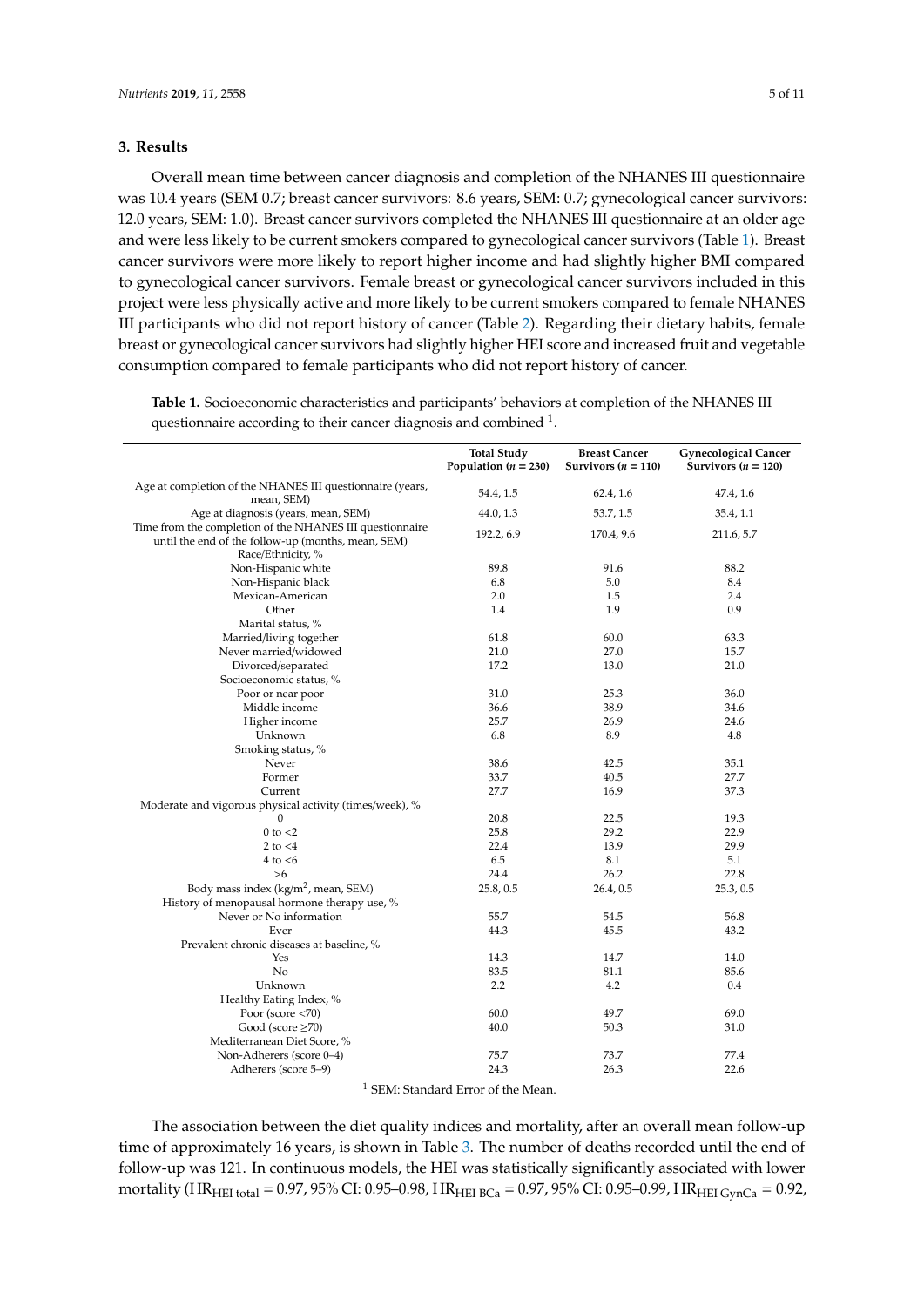#### **3. Results**

Overall mean time between cancer diagnosis and completion of the NHANES III questionnaire was 10.4 years (SEM 0.7; breast cancer survivors: 8.6 years, SEM: 0.7; gynecological cancer survivors: 12.0 years, SEM: 1.0). Breast cancer survivors completed the NHANES III questionnaire at an older age and were less likely to be current smokers compared to gynecological cancer survivors (Table 1). Breast cancer survivors were more likely to report higher income and had slightly higher BMI compared to gynecological cancer survivors. Female breast or gynecological cancer survivors included in this project were less physically active and more likely to be current smokers compared to female NHANES III participants who did not report history of cancer (Table 2). Regarding their dietary habits, female breast or gynecological cancer survivors had slightly higher HEI score and increased fruit and vegetable consumption compared to female participants who did not report history of cancer.

**Table 1.** Socioeconomic characteristics and participants' behaviors at completion of the NHANES III questionnaire according to their cancer diagnosis and combined  $1$ .

|                                                                                                                                     | <b>Total Study</b><br>Population ( $n = 230$ ) | <b>Breast Cancer</b><br>Survivors ( $n = 110$ ) | <b>Gynecological Cancer</b><br>Survivors ( $n = 120$ ) |
|-------------------------------------------------------------------------------------------------------------------------------------|------------------------------------------------|-------------------------------------------------|--------------------------------------------------------|
| Age at completion of the NHANES III questionnaire (years,<br>mean, SEM)                                                             | 54.4, 1.5                                      | 62.4, 1.6                                       | 47.4, 1.6                                              |
| Age at diagnosis (years, mean, SEM)                                                                                                 | 44.0, 1.3                                      | 53.7, 1.5                                       | 35.4, 1.1                                              |
| Time from the completion of the NHANES III questionnaire<br>until the end of the follow-up (months, mean, SEM)<br>Race/Ethnicity, % | 192.2, 6.9                                     | 170.4, 9.6                                      | 211.6, 5.7                                             |
| Non-Hispanic white                                                                                                                  | 89.8                                           | 91.6                                            | 88.2                                                   |
| Non-Hispanic black                                                                                                                  | 6.8                                            | 5.0                                             | 8.4                                                    |
| Mexican-American                                                                                                                    | 2.0                                            | 1.5                                             | 2.4                                                    |
| Other                                                                                                                               | 1.4                                            | 1.9                                             | 0.9                                                    |
| Marital status, %                                                                                                                   |                                                |                                                 |                                                        |
| Married/living together                                                                                                             | 61.8                                           | 60.0                                            | 63.3                                                   |
| Never married/widowed                                                                                                               | 21.0                                           | 27.0                                            | 15.7                                                   |
| Divorced/separated                                                                                                                  | 17.2                                           | 13.0                                            | 21.0                                                   |
| Socioeconomic status, %                                                                                                             |                                                |                                                 |                                                        |
| Poor or near poor                                                                                                                   | 31.0                                           | 25.3                                            | 36.0                                                   |
| Middle income                                                                                                                       | 36.6                                           | 38.9                                            | 34.6                                                   |
| Higher income                                                                                                                       | 25.7                                           | 26.9                                            | 24.6                                                   |
| Unknown                                                                                                                             | 6.8                                            | 8.9                                             | 4.8                                                    |
| Smoking status, %                                                                                                                   |                                                |                                                 |                                                        |
| Never                                                                                                                               | 38.6                                           | 42.5                                            | 35.1                                                   |
| Former                                                                                                                              | 33.7                                           | 40.5                                            | 27.7                                                   |
| Current                                                                                                                             | 27.7                                           | 16.9                                            | 37.3                                                   |
| Moderate and vigorous physical activity (times/week), %                                                                             |                                                |                                                 |                                                        |
| 0                                                                                                                                   | 20.8                                           | 22.5                                            | 19.3                                                   |
| $0$ to $<$ 2                                                                                                                        | 25.8                                           | 29.2                                            | 22.9                                                   |
| 2 to $<$ 4                                                                                                                          | 22.4                                           | 13.9                                            | 29.9                                                   |
| $4$ to $< 6$                                                                                                                        | 6.5                                            | 8.1                                             | 5.1                                                    |
| $>6$                                                                                                                                | 24.4                                           | 26.2                                            | 22.8                                                   |
| Body mass index (kg/m <sup>2</sup> , mean, SEM)                                                                                     | 25.8, 0.5                                      | 26.4, 0.5                                       | 25.3, 0.5                                              |
| History of menopausal hormone therapy use, %                                                                                        |                                                |                                                 |                                                        |
| Never or No information                                                                                                             | 55.7                                           | 54.5                                            | 56.8                                                   |
| Ever                                                                                                                                | 44.3                                           | 45.5                                            | 43.2                                                   |
| Prevalent chronic diseases at baseline, %                                                                                           |                                                |                                                 |                                                        |
| Yes                                                                                                                                 | 14.3                                           | 14.7                                            | 14.0                                                   |
| No                                                                                                                                  | 83.5                                           | 81.1                                            | 85.6                                                   |
| Unknown                                                                                                                             | 2.2                                            | 4.2                                             | 0.4                                                    |
| Healthy Eating Index, %                                                                                                             |                                                |                                                 |                                                        |
| Poor (score $<$ 70)                                                                                                                 | 60.0                                           | 49.7                                            | 69.0                                                   |
| Good (score $\geq$ 70)                                                                                                              | 40.0                                           | 50.3                                            | 31.0                                                   |
| Mediterranean Diet Score, %                                                                                                         |                                                |                                                 |                                                        |
| Non-Adherers (score 0-4)                                                                                                            | 75.7                                           | 73.7                                            | 77.4                                                   |
| Adherers (score 5-9)                                                                                                                | 24.3                                           | 26.3                                            | 22.6                                                   |

<sup>1</sup> SEM: Standard Error of the Mean.

The association between the diet quality indices and mortality, after an overall mean follow-up time of approximately 16 years, is shown in Table 3. The number of deaths recorded until the end of follow-up was 121. In continuous models, the HEI was statistically significantly associated with lower mortality (HR<sub>HEI total</sub> = 0.97, 95% CI: 0.95–0.98, HR<sub>HEI BCa</sub> = 0.97, 95% CI: 0.95–0.99, HR<sub>HEI GynCa</sub> = 0.92,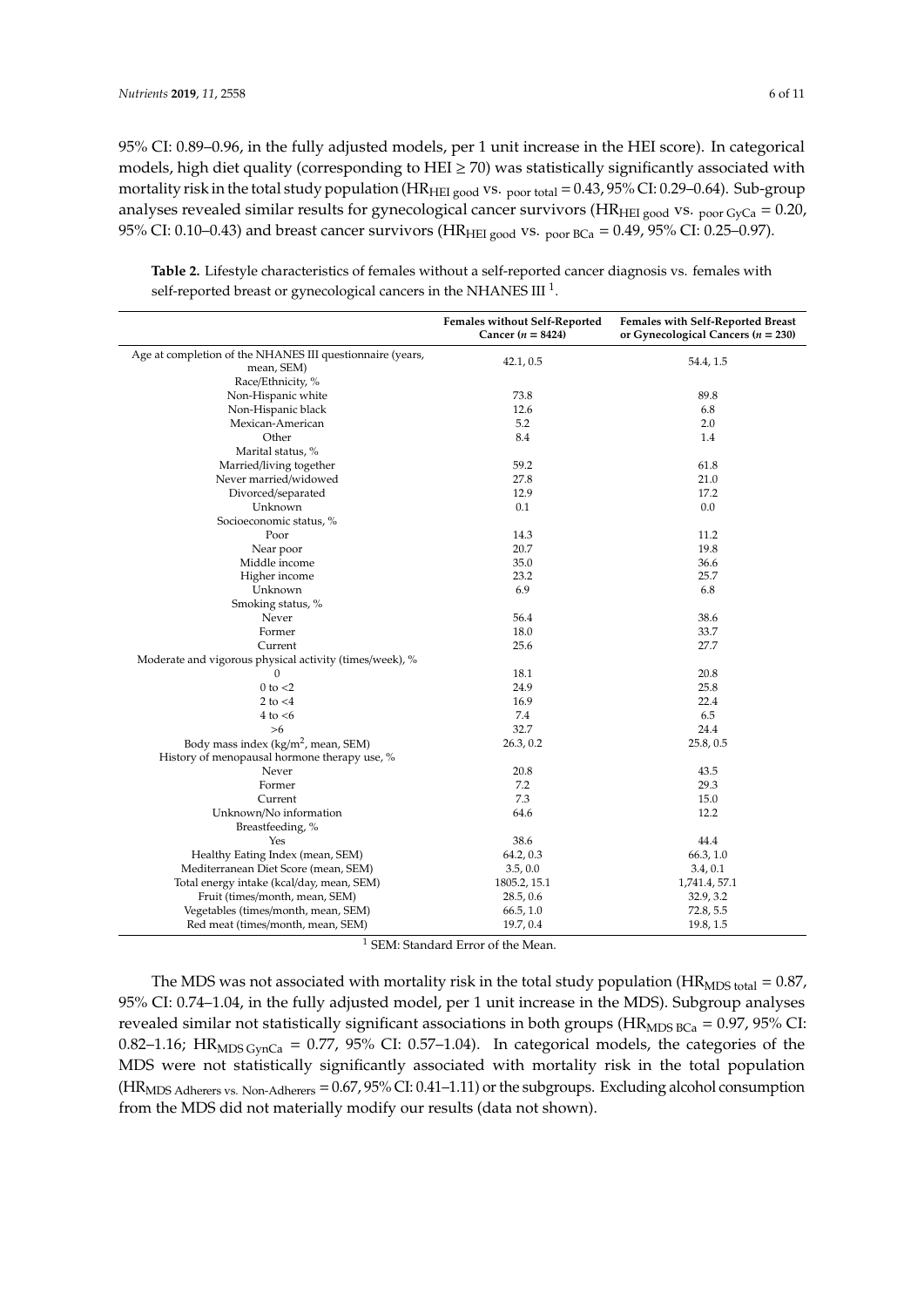95% CI: 0.89–0.96, in the fully adjusted models, per 1 unit increase in the HEI score). In categorical models, high diet quality (corresponding to HEI  $\geq$  70) was statistically significantly associated with mortality risk in the total study population (HR<sub>HEI good</sub> vs.  $_{\text{poor total}} = 0.43,95\%$  CI: 0.29–0.64). Sub-group analyses revealed similar results for gynecological cancer survivors (HR<sub>HEI good</sub> vs.  $_{\text{poor GyCa}} = 0.20$ , 95% CI: 0.10–0.43) and breast cancer survivors (HR<sub>HEI good</sub> vs.  $_{\text{poor BCa}} = 0.49$ , 95% CI: 0.25–0.97).

|                                                           | <b>Females without Self-Reported</b><br>Cancer $(n = 8424)$ | Females with Self-Reported Breast<br>or Gynecological Cancers ( $n = 230$ ) |  |
|-----------------------------------------------------------|-------------------------------------------------------------|-----------------------------------------------------------------------------|--|
| Age at completion of the NHANES III questionnaire (years, |                                                             |                                                                             |  |
| mean, SEM)                                                | 42.1, 0.5                                                   | 54.4, 1.5                                                                   |  |
| Race/Ethnicity, %                                         |                                                             |                                                                             |  |
| Non-Hispanic white                                        | 73.8                                                        | 89.8                                                                        |  |
| Non-Hispanic black                                        | 12.6                                                        | 6.8                                                                         |  |
| Mexican-American                                          | 5.2                                                         | 2.0                                                                         |  |
| Other                                                     | 8.4                                                         | 1.4                                                                         |  |
| Marital status, %                                         |                                                             |                                                                             |  |
| Married/living together                                   | 59.2                                                        | 61.8                                                                        |  |
| Never married/widowed                                     | 27.8                                                        | 21.0                                                                        |  |
| Divorced/separated                                        | 12.9                                                        | 17.2                                                                        |  |
| Unknown                                                   | 0.1                                                         | 0.0                                                                         |  |
| Socioeconomic status, %                                   |                                                             |                                                                             |  |
| Poor                                                      | 14.3                                                        | 11.2                                                                        |  |
| Near poor                                                 | 20.7                                                        | 19.8                                                                        |  |
| Middle income                                             | 35.0                                                        | 36.6                                                                        |  |
| Higher income                                             | 23.2                                                        | 25.7                                                                        |  |
| Unknown                                                   | 6.9                                                         | 6.8                                                                         |  |
| Smoking status, %                                         |                                                             |                                                                             |  |
| Never                                                     | 56.4                                                        | 38.6                                                                        |  |
| Former                                                    | 18.0                                                        | 33.7                                                                        |  |
| Current                                                   | 25.6                                                        | 27.7                                                                        |  |
| Moderate and vigorous physical activity (times/week), %   |                                                             |                                                                             |  |
| $\mathbf{0}$                                              | 18.1                                                        | 20.8                                                                        |  |
| $0$ to $<$ 2                                              | 24.9                                                        | 25.8                                                                        |  |
| 2 to $<$ 4                                                | 16.9                                                        | 22.4                                                                        |  |
| $4$ to $\lt 6$                                            | 7.4                                                         | 6.5                                                                         |  |
| >6                                                        | 32.7                                                        | 24.4                                                                        |  |
| Body mass index $(kg/m2$ , mean, SEM)                     | 26.3, 0.2                                                   | 25.8, 0.5                                                                   |  |
| History of menopausal hormone therapy use, %              |                                                             |                                                                             |  |
| Never                                                     | 20.8                                                        | 43.5                                                                        |  |
| Former                                                    | 7.2                                                         | 29.3                                                                        |  |
| Current                                                   | 7.3                                                         | 15.0                                                                        |  |
| Unknown/No information                                    | 64.6                                                        | 12.2                                                                        |  |
| Breastfeeding, %                                          |                                                             |                                                                             |  |
| Yes                                                       | 38.6                                                        | 44.4                                                                        |  |
| Healthy Eating Index (mean, SEM)                          | 64.2, 0.3                                                   | 66.3, 1.0                                                                   |  |
| Mediterranean Diet Score (mean, SEM)                      | 3.5, 0.0                                                    | 3.4, 0.1                                                                    |  |
| Total energy intake (kcal/day, mean, SEM)                 | 1805.2, 15.1                                                | 1,741.4, 57.1                                                               |  |
| Fruit (times/month, mean, SEM)                            | 28.5, 0.6                                                   | 32.9, 3.2                                                                   |  |
| Vegetables (times/month, mean, SEM)                       | 66.5, 1.0                                                   | 72.8, 5.5                                                                   |  |
| Red meat (times/month, mean, SEM)                         | 19.7, 0.4                                                   | 19.8, 1.5                                                                   |  |
|                                                           |                                                             |                                                                             |  |

**Table 2.** Lifestyle characteristics of females without a self-reported cancer diagnosis vs. females with self-reported breast or gynecological cancers in the NHANES III  $^1$ .

<sup>1</sup> SEM: Standard Error of the Mean.

The MDS was not associated with mortality risk in the total study population ( $HR_{MDS}$  total = 0.87, 95% CI: 0.74–1.04, in the fully adjusted model, per 1 unit increase in the MDS). Subgroup analyses revealed similar not statistically significant associations in both groups ( $HR_{MDS BCa} = 0.97$ , 95% CI: 0.82–1.16; HR<sub>MDS GynCa</sub> = 0.77, 95% CI: 0.57–1.04). In categorical models, the categories of the MDS were not statistically significantly associated with mortality risk in the total population (HRMDS Adherers vs. Non-Adherers = 0.67, 95% CI: 0.41–1.11) or the subgroups. Excluding alcohol consumption from the MDS did not materially modify our results (data not shown).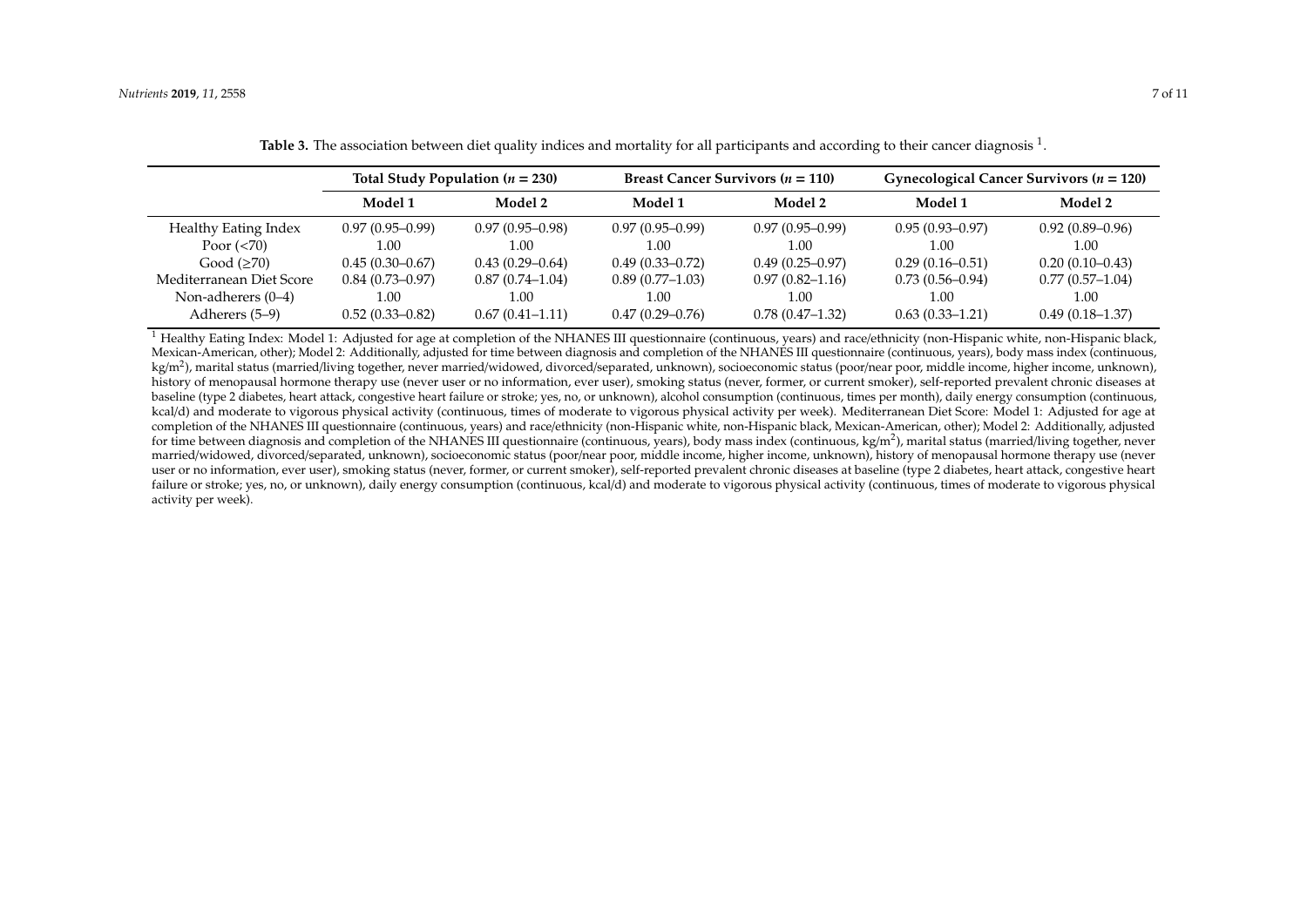|                          | Total Study Population ( $n = 230$ ) |                     | Breast Cancer Survivors ( $n = 110$ ) |                     | Gynecological Cancer Survivors ( $n = 120$ ) |                     |
|--------------------------|--------------------------------------|---------------------|---------------------------------------|---------------------|----------------------------------------------|---------------------|
|                          | Model 1                              | Model 2             | Model 1                               | Model 2             | Model 1                                      | Model 2             |
| Healthy Eating Index     | $0.97(0.95-0.99)$                    | $0.97(0.95-0.98)$   | $0.97(0.95-0.99)$                     | $0.97(0.95-0.99)$   | $0.95(0.93 - 0.97)$                          | $0.92(0.89 - 0.96)$ |
| Poor $(< 70)$            | 1.00                                 | 1.00                | 1.00                                  | 1.00                | 1.00                                         | 1.00                |
| Good $(\geq 70)$         | $0.45(0.30-0.67)$                    | $0.43(0.29 - 0.64)$ | $0.49(0.33 - 0.72)$                   | $0.49(0.25-0.97)$   | $0.29(0.16 - 0.51)$                          | $0.20(0.10-0.43)$   |
| Mediterranean Diet Score | $0.84(0.73 - 0.97)$                  | $0.87(0.74 - 1.04)$ | $0.89(0.77-1.03)$                     | $0.97(0.82 - 1.16)$ | $0.73(0.56 - 0.94)$                          | $0.77(0.57-1.04)$   |
| Non-adherers $(0-4)$     | 1.00                                 | 1.00                | l.00                                  | 1.00                | 1.00                                         | 1.00                |
| Adherers (5–9)           | $0.52(0.33 - 0.82)$                  | $0.67(0.41 - 1.11)$ | $0.47(0.29 - 0.76)$                   | $0.78(0.47-1.32)$   | $0.63(0.33 - 1.21)$                          | $0.49(0.18-1.37)$   |

**Table 3.** The association between diet quality indices and mortality for all participants and according to their cancer diagnosis <sup>1</sup> .

<sup>1</sup> Healthy Eating Index: Model 1: Adjusted for age at completion of the NHANES III questionnaire (continuous, years) and race/ethnicity (non-Hispanic white, non-Hispanic black, Mexican-American, other); Model 2: Additionally, adjusted for time between diagnosis and completion of the NHANES III questionnaire (continuous, years), body mass index (continuous, kg/m<sup>2</sup>), marital status (married/living together, never married/widowed, divorced/separated, unknown), socioeconomic status (poor/near poor, middle income, higher income, unknown), history of menopausal hormone therapy use (never user or no information, ever user), smoking status (never, former, or current smoker), self-reported prevalent chronic diseases at baseline (type 2 diabetes, heart attack, congestive heart failure or stroke; yes, no, or unknown), alcohol consumption (continuous, times per month), daily energy consumption (continuous, kcal/d) and moderate to vigorous physical activity (continuous, times of moderate to vigorous physical activity per week). Mediterranean Diet Score: Model 1: Adjusted for age at completion of the NHANES III questionnaire (continuous, years) and race/ethnicity (non-Hispanic white, non-Hispanic black, Mexican-American, other); Model 2: Additionally, adjusted for time between diagnosis and completion of the NHANES III questionnaire (continuous, years), body mass index (continuous, kg/m<sup>2</sup>), marital status (married/living together, never married/widowed, divorced/separated, unknown), socioeconomic status (poor/near poor, middle income, higher income, unknown), history of menopausal hormone therapy use (never user or no information, ever user), smoking status (never, former, or current smoker), self-reported prevalent chronic diseases at baseline (type 2 diabetes, heart attack, congestive heart failure or stroke; yes, no, or unknown), daily energy consumption (continuous, kcal/d) and moderate to vigorous physical activity (continuous, times of moderate to vigorous physical activity per week).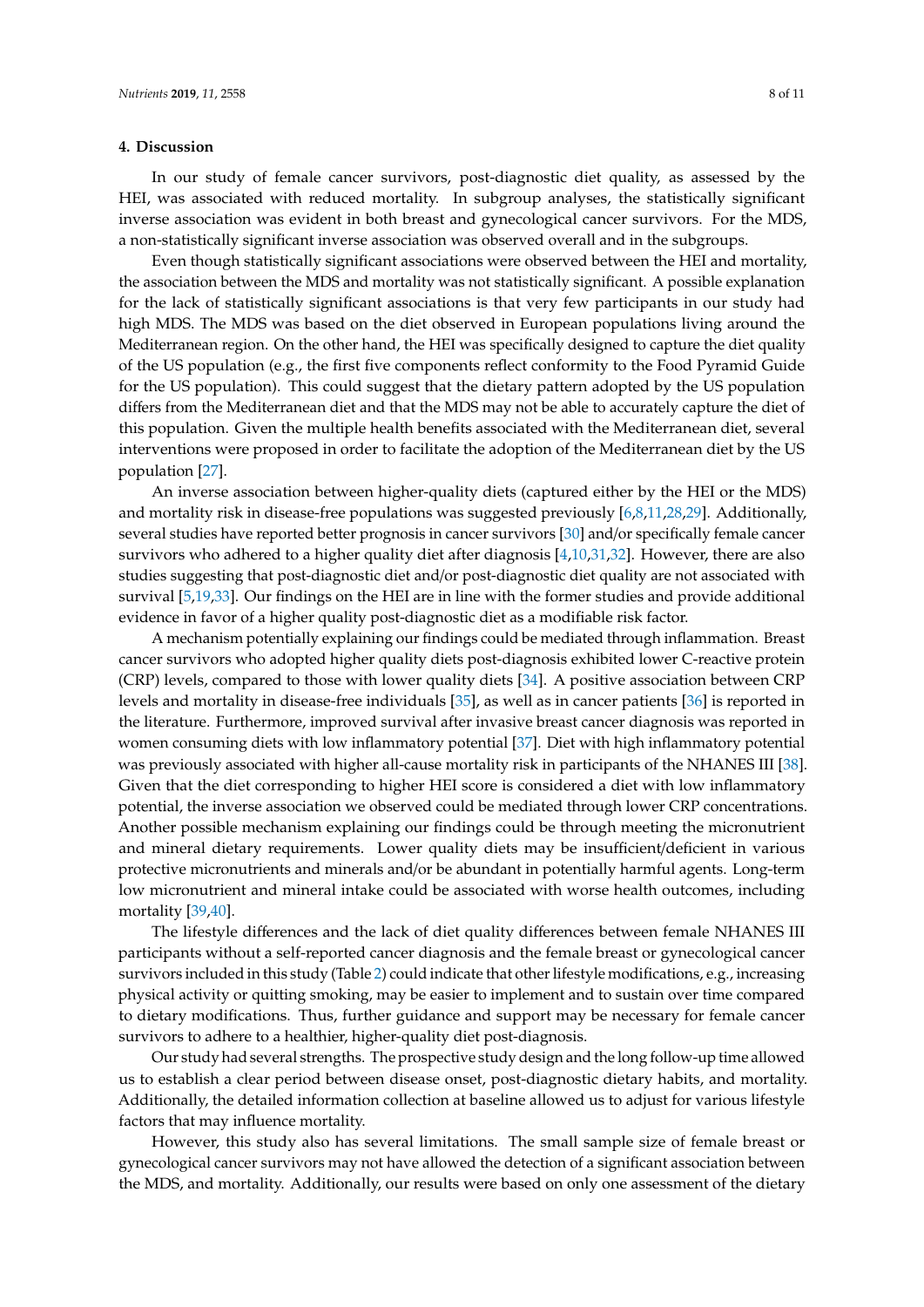#### **4. Discussion**

In our study of female cancer survivors, post-diagnostic diet quality, as assessed by the HEI, was associated with reduced mortality. In subgroup analyses, the statistically significant inverse association was evident in both breast and gynecological cancer survivors. For the MDS, a non-statistically significant inverse association was observed overall and in the subgroups.

Even though statistically significant associations were observed between the HEI and mortality, the association between the MDS and mortality was not statistically significant. A possible explanation for the lack of statistically significant associations is that very few participants in our study had high MDS. The MDS was based on the diet observed in European populations living around the Mediterranean region. On the other hand, the HEI was specifically designed to capture the diet quality of the US population (e.g., the first five components reflect conformity to the Food Pyramid Guide for the US population). This could suggest that the dietary pattern adopted by the US population differs from the Mediterranean diet and that the MDS may not be able to accurately capture the diet of this population. Given the multiple health benefits associated with the Mediterranean diet, several interventions were proposed in order to facilitate the adoption of the Mediterranean diet by the US population [27].

An inverse association between higher-quality diets (captured either by the HEI or the MDS) and mortality risk in disease-free populations was suggested previously [6,8,11,28,29]. Additionally, several studies have reported better prognosis in cancer survivors [30] and/or specifically female cancer survivors who adhered to a higher quality diet after diagnosis [4,10,31,32]. However, there are also studies suggesting that post-diagnostic diet and/or post-diagnostic diet quality are not associated with survival [5,19,33]. Our findings on the HEI are in line with the former studies and provide additional evidence in favor of a higher quality post-diagnostic diet as a modifiable risk factor.

A mechanism potentially explaining our findings could be mediated through inflammation. Breast cancer survivors who adopted higher quality diets post-diagnosis exhibited lower C-reactive protein (CRP) levels, compared to those with lower quality diets [34]. A positive association between CRP levels and mortality in disease-free individuals [35], as well as in cancer patients [36] is reported in the literature. Furthermore, improved survival after invasive breast cancer diagnosis was reported in women consuming diets with low inflammatory potential [37]. Diet with high inflammatory potential was previously associated with higher all-cause mortality risk in participants of the NHANES III [38]. Given that the diet corresponding to higher HEI score is considered a diet with low inflammatory potential, the inverse association we observed could be mediated through lower CRP concentrations. Another possible mechanism explaining our findings could be through meeting the micronutrient and mineral dietary requirements. Lower quality diets may be insufficient/deficient in various protective micronutrients and minerals and/or be abundant in potentially harmful agents. Long-term low micronutrient and mineral intake could be associated with worse health outcomes, including mortality [39,40].

The lifestyle differences and the lack of diet quality differences between female NHANES III participants without a self-reported cancer diagnosis and the female breast or gynecological cancer survivors included in this study (Table 2) could indicate that other lifestyle modifications, e.g., increasing physical activity or quitting smoking, may be easier to implement and to sustain over time compared to dietary modifications. Thus, further guidance and support may be necessary for female cancer survivors to adhere to a healthier, higher-quality diet post-diagnosis.

Our study had several strengths. The prospective study design and the long follow-up time allowed us to establish a clear period between disease onset, post-diagnostic dietary habits, and mortality. Additionally, the detailed information collection at baseline allowed us to adjust for various lifestyle factors that may influence mortality.

However, this study also has several limitations. The small sample size of female breast or gynecological cancer survivors may not have allowed the detection of a significant association between the MDS, and mortality. Additionally, our results were based on only one assessment of the dietary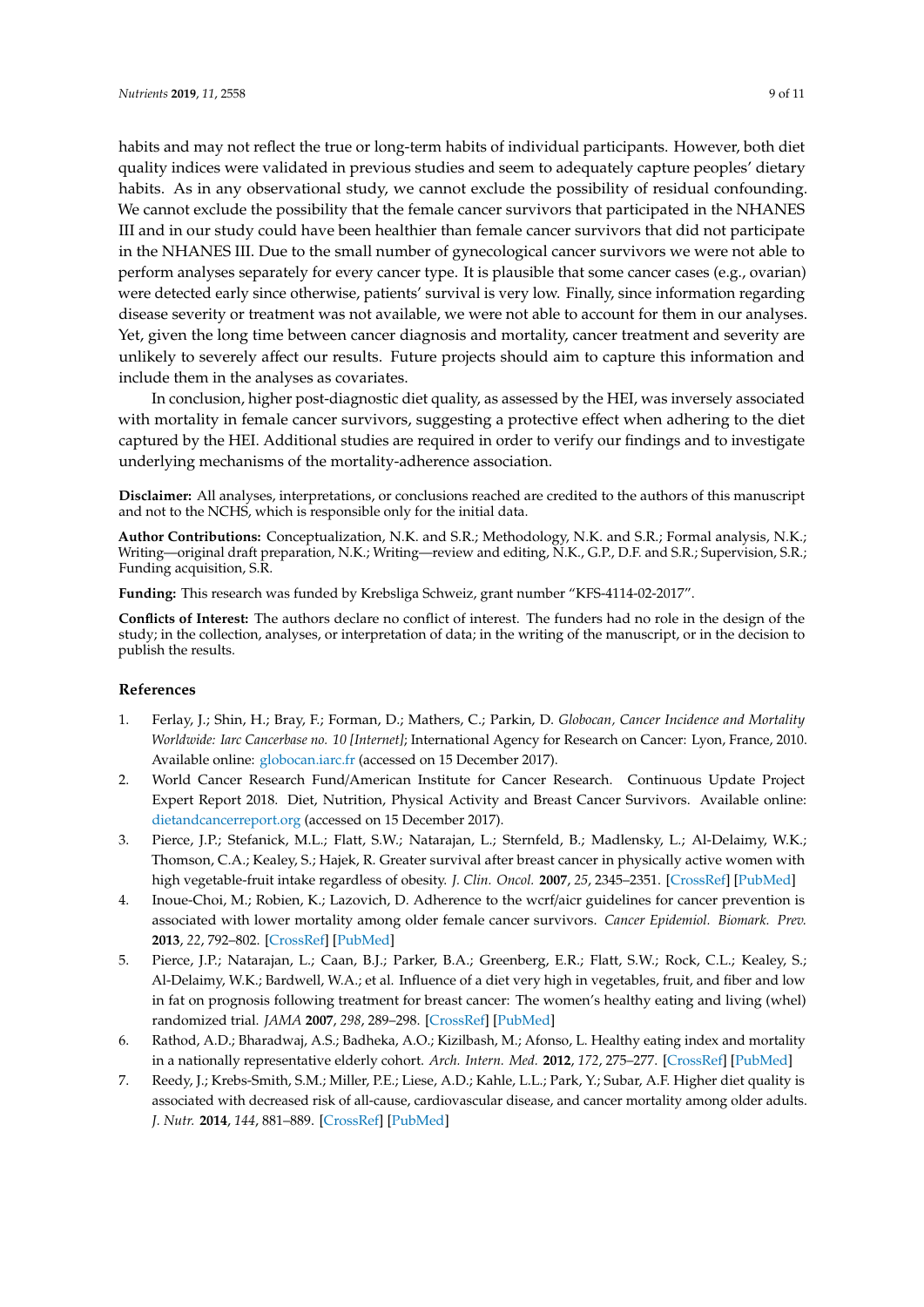habits and may not reflect the true or long-term habits of individual participants. However, both diet quality indices were validated in previous studies and seem to adequately capture peoples' dietary habits. As in any observational study, we cannot exclude the possibility of residual confounding. We cannot exclude the possibility that the female cancer survivors that participated in the NHANES III and in our study could have been healthier than female cancer survivors that did not participate in the NHANES III. Due to the small number of gynecological cancer survivors we were not able to perform analyses separately for every cancer type. It is plausible that some cancer cases (e.g., ovarian) were detected early since otherwise, patients' survival is very low. Finally, since information regarding disease severity or treatment was not available, we were not able to account for them in our analyses. Yet, given the long time between cancer diagnosis and mortality, cancer treatment and severity are unlikely to severely affect our results. Future projects should aim to capture this information and include them in the analyses as covariates.

In conclusion, higher post-diagnostic diet quality, as assessed by the HEI, was inversely associated with mortality in female cancer survivors, suggesting a protective effect when adhering to the diet captured by the HEI. Additional studies are required in order to verify our findings and to investigate underlying mechanisms of the mortality-adherence association.

**Disclaimer:** All analyses, interpretations, or conclusions reached are credited to the authors of this manuscript and not to the NCHS, which is responsible only for the initial data.

**Author Contributions:** Conceptualization, N.K. and S.R.; Methodology, N.K. and S.R.; Formal analysis, N.K.; Writing—original draft preparation, N.K.; Writing—review and editing, N.K., G.P., D.F. and S.R.; Supervision, S.R.; Funding acquisition, S.R.

**Funding:** This research was funded by Krebsliga Schweiz, grant number "KFS-4114-02-2017".

**Conflicts of Interest:** The authors declare no conflict of interest. The funders had no role in the design of the study; in the collection, analyses, or interpretation of data; in the writing of the manuscript, or in the decision to publish the results.

#### **References**

- 1. Ferlay, J.; Shin, H.; Bray, F.; Forman, D.; Mathers, C.; Parkin, D. *Globocan, Cancer Incidence and Mortality Worldwide: Iarc Cancerbase no. 10 [Internet]*; International Agency for Research on Cancer: Lyon, France, 2010. Available online: <globocan.iarc.fr> (accessed on 15 December 2017).
- 2. World Cancer Research Fund/American Institute for Cancer Research. Continuous Update Project Expert Report 2018. Diet, Nutrition, Physical Activity and Breast Cancer Survivors. Available online: <dietandcancerreport.org> (accessed on 15 December 2017).
- 3. Pierce, J.P.; Stefanick, M.L.; Flatt, S.W.; Natarajan, L.; Sternfeld, B.; Madlensky, L.; Al-Delaimy, W.K.; Thomson, C.A.; Kealey, S.; Hajek, R. Greater survival after breast cancer in physically active women with high vegetable-fruit intake regardless of obesity. *J. Clin. Oncol.* **2007**, *25*, 2345–2351. [\[CrossRef\]](http://dx.doi.org/10.1200/JCO.2006.08.6819) [\[PubMed\]](http://www.ncbi.nlm.nih.gov/pubmed/17557947)
- 4. Inoue-Choi, M.; Robien, K.; Lazovich, D. Adherence to the wcrf/aicr guidelines for cancer prevention is associated with lower mortality among older female cancer survivors. *Cancer Epidemiol. Biomark. Prev.* **2013**, *22*, 792–802. [\[CrossRef\]](http://dx.doi.org/10.1158/1055-9965.EPI-13-0054) [\[PubMed\]](http://www.ncbi.nlm.nih.gov/pubmed/23462914)
- 5. Pierce, J.P.; Natarajan, L.; Caan, B.J.; Parker, B.A.; Greenberg, E.R.; Flatt, S.W.; Rock, C.L.; Kealey, S.; Al-Delaimy, W.K.; Bardwell, W.A.; et al. Influence of a diet very high in vegetables, fruit, and fiber and low in fat on prognosis following treatment for breast cancer: The women's healthy eating and living (whel) randomized trial. *JAMA* **2007**, *298*, 289–298. [\[CrossRef\]](http://dx.doi.org/10.1001/jama.298.3.289) [\[PubMed\]](http://www.ncbi.nlm.nih.gov/pubmed/17635889)
- 6. Rathod, A.D.; Bharadwaj, A.S.; Badheka, A.O.; Kizilbash, M.; Afonso, L. Healthy eating index and mortality in a nationally representative elderly cohort. *Arch. Intern. Med.* **2012**, *172*, 275–277. [\[CrossRef\]](http://dx.doi.org/10.1001/archinternmed.2011.1031) [\[PubMed\]](http://www.ncbi.nlm.nih.gov/pubmed/22332163)
- 7. Reedy, J.; Krebs-Smith, S.M.; Miller, P.E.; Liese, A.D.; Kahle, L.L.; Park, Y.; Subar, A.F. Higher diet quality is associated with decreased risk of all-cause, cardiovascular disease, and cancer mortality among older adults. *J. Nutr.* **2014**, *144*, 881–889. [\[CrossRef\]](http://dx.doi.org/10.3945/jn.113.189407) [\[PubMed\]](http://www.ncbi.nlm.nih.gov/pubmed/24572039)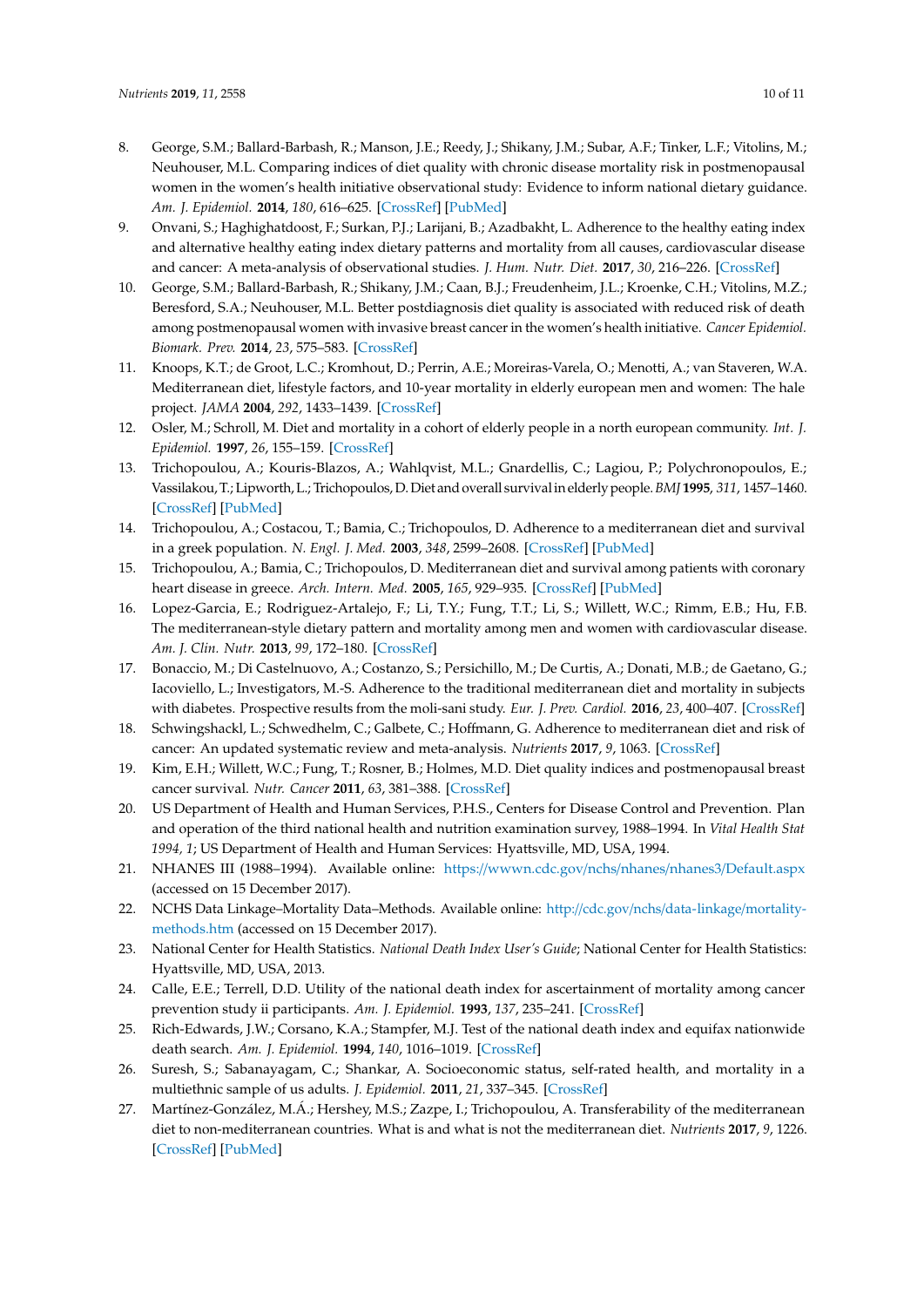- 8. George, S.M.; Ballard-Barbash, R.; Manson, J.E.; Reedy, J.; Shikany, J.M.; Subar, A.F.; Tinker, L.F.; Vitolins, M.; Neuhouser, M.L. Comparing indices of diet quality with chronic disease mortality risk in postmenopausal women in the women's health initiative observational study: Evidence to inform national dietary guidance. *Am. J. Epidemiol.* **2014**, *180*, 616–625. [\[CrossRef\]](http://dx.doi.org/10.1093/aje/kwu173) [\[PubMed\]](http://www.ncbi.nlm.nih.gov/pubmed/25035143)
- 9. Onvani, S.; Haghighatdoost, F.; Surkan, P.J.; Larijani, B.; Azadbakht, L. Adherence to the healthy eating index and alternative healthy eating index dietary patterns and mortality from all causes, cardiovascular disease and cancer: A meta-analysis of observational studies. *J. Hum. Nutr. Diet.* **2017**, *30*, 216–226. [\[CrossRef\]](http://dx.doi.org/10.1111/jhn.12415)
- 10. George, S.M.; Ballard-Barbash, R.; Shikany, J.M.; Caan, B.J.; Freudenheim, J.L.; Kroenke, C.H.; Vitolins, M.Z.; Beresford, S.A.; Neuhouser, M.L. Better postdiagnosis diet quality is associated with reduced risk of death among postmenopausal women with invasive breast cancer in the women's health initiative. *Cancer Epidemiol. Biomark. Prev.* **2014**, *23*, 575–583. [\[CrossRef\]](http://dx.doi.org/10.1158/1055-9965.EPI-13-1162)
- 11. Knoops, K.T.; de Groot, L.C.; Kromhout, D.; Perrin, A.E.; Moreiras-Varela, O.; Menotti, A.; van Staveren, W.A. Mediterranean diet, lifestyle factors, and 10-year mortality in elderly european men and women: The hale project. *JAMA* **2004**, *292*, 1433–1439. [\[CrossRef\]](http://dx.doi.org/10.1001/jama.292.12.1433)
- 12. Osler, M.; Schroll, M. Diet and mortality in a cohort of elderly people in a north european community. *Int. J. Epidemiol.* **1997**, *26*, 155–159. [\[CrossRef\]](http://dx.doi.org/10.1093/ije/26.1.155)
- 13. Trichopoulou, A.; Kouris-Blazos, A.; Wahlqvist, M.L.; Gnardellis, C.; Lagiou, P.; Polychronopoulos, E.; Vassilakou, T.; Lipworth, L.; Trichopoulos, D. Diet and overall survivalin elderly people.*BMJ* **1995**, *311*, 1457–1460. [\[CrossRef\]](http://dx.doi.org/10.1136/bmj.311.7018.1457) [\[PubMed\]](http://www.ncbi.nlm.nih.gov/pubmed/8520331)
- 14. Trichopoulou, A.; Costacou, T.; Bamia, C.; Trichopoulos, D. Adherence to a mediterranean diet and survival in a greek population. *N. Engl. J. Med.* **2003**, *348*, 2599–2608. [\[CrossRef\]](http://dx.doi.org/10.1056/NEJMoa025039) [\[PubMed\]](http://www.ncbi.nlm.nih.gov/pubmed/12826634)
- 15. Trichopoulou, A.; Bamia, C.; Trichopoulos, D. Mediterranean diet and survival among patients with coronary heart disease in greece. *Arch. Intern. Med.* **2005**, *165*, 929–935. [\[CrossRef\]](http://dx.doi.org/10.1001/archinte.165.8.929) [\[PubMed\]](http://www.ncbi.nlm.nih.gov/pubmed/15851646)
- 16. Lopez-Garcia, E.; Rodriguez-Artalejo, F.; Li, T.Y.; Fung, T.T.; Li, S.; Willett, W.C.; Rimm, E.B.; Hu, F.B. The mediterranean-style dietary pattern and mortality among men and women with cardiovascular disease. *Am. J. Clin. Nutr.* **2013**, *99*, 172–180. [\[CrossRef\]](http://dx.doi.org/10.3945/ajcn.113.068106)
- 17. Bonaccio, M.; Di Castelnuovo, A.; Costanzo, S.; Persichillo, M.; De Curtis, A.; Donati, M.B.; de Gaetano, G.; Iacoviello, L.; Investigators, M.-S. Adherence to the traditional mediterranean diet and mortality in subjects with diabetes. Prospective results from the moli-sani study. *Eur. J. Prev. Cardiol.* **2016**, *23*, 400–407. [\[CrossRef\]](http://dx.doi.org/10.1177/2047487315569409)
- 18. Schwingshackl, L.; Schwedhelm, C.; Galbete, C.; Hoffmann, G. Adherence to mediterranean diet and risk of cancer: An updated systematic review and meta-analysis. *Nutrients* **2017**, *9*, 1063. [\[CrossRef\]](http://dx.doi.org/10.3390/nu9101063)
- 19. Kim, E.H.; Willett, W.C.; Fung, T.; Rosner, B.; Holmes, M.D. Diet quality indices and postmenopausal breast cancer survival. *Nutr. Cancer* **2011**, *63*, 381–388. [\[CrossRef\]](http://dx.doi.org/10.1080/01635581.2011.535963)
- 20. US Department of Health and Human Services, P.H.S., Centers for Disease Control and Prevention. Plan and operation of the third national health and nutrition examination survey, 1988–1994. In *Vital Health Stat 1994, 1*; US Department of Health and Human Services: Hyattsville, MD, USA, 1994.
- 21. NHANES III (1988–1994). Available online: https://[wwwn.cdc.gov](https://wwwn.cdc.gov/nchs/nhanes/nhanes3/Default.aspx)/nchs/nhanes/nhanes3/Default.aspx (accessed on 15 December 2017).
- 22. NCHS Data Linkage–Mortality Data–Methods. Available online: http://cdc.gov/nchs/[data-linkage](http://cdc.gov/nchs/data-linkage/mortality-methods.htm)/mortality[methods.htm](http://cdc.gov/nchs/data-linkage/mortality-methods.htm) (accessed on 15 December 2017).
- 23. National Center for Health Statistics. *National Death Index User's Guide*; National Center for Health Statistics: Hyattsville, MD, USA, 2013.
- 24. Calle, E.E.; Terrell, D.D. Utility of the national death index for ascertainment of mortality among cancer prevention study ii participants. *Am. J. Epidemiol.* **1993**, *137*, 235–241. [\[CrossRef\]](http://dx.doi.org/10.1093/oxfordjournals.aje.a116664)
- 25. Rich-Edwards, J.W.; Corsano, K.A.; Stampfer, M.J. Test of the national death index and equifax nationwide death search. *Am. J. Epidemiol.* **1994**, *140*, 1016–1019. [\[CrossRef\]](http://dx.doi.org/10.1093/oxfordjournals.aje.a117191)
- 26. Suresh, S.; Sabanayagam, C.; Shankar, A. Socioeconomic status, self-rated health, and mortality in a multiethnic sample of us adults. *J. Epidemiol.* **2011**, *21*, 337–345. [\[CrossRef\]](http://dx.doi.org/10.2188/jea.JE20100142)
- 27. Martínez-González, M.Á.; Hershey, M.S.; Zazpe, I.; Trichopoulou, A. Transferability of the mediterranean diet to non-mediterranean countries. What is and what is not the mediterranean diet. *Nutrients* **2017**, *9*, 1226. [\[CrossRef\]](http://dx.doi.org/10.3390/nu9111226) [\[PubMed\]](http://www.ncbi.nlm.nih.gov/pubmed/29117146)